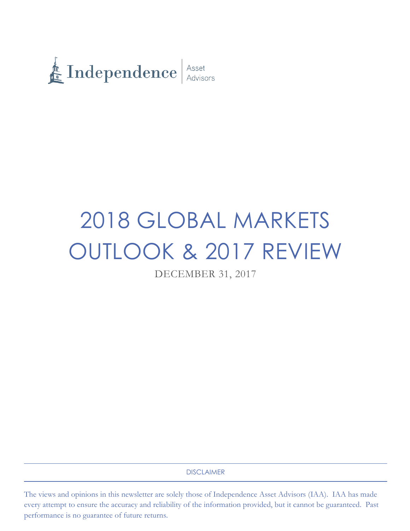

# 2018 GLOBAL MARKETS OUTLOOK & 2017 REVIEW

DECEMBER 31, 2017

DISCLAIMER

The views and opinions in this newsletter are solely those of Independence Asset Advisors (IAA). IAA has made every attempt to ensure the accuracy and reliability of the information provided, but it cannot be guaranteed. Past performance is no guarantee of future returns.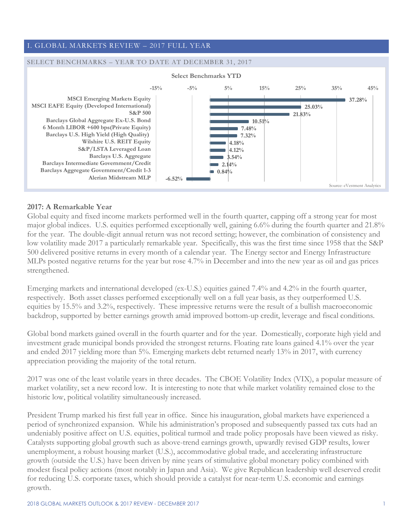# I. GLOBAL MARKETS REVIEW – 2017 FULL YEAR

#### SELECT BENCHMARKS – YEAR TO DATE AT DECEMBER 31, 2017



#### **2017: A Remarkable Year**

Global equity and fixed income markets performed well in the fourth quarter, capping off a strong year for most major global indices. U.S. equities performed exceptionally well, gaining 6.6% during the fourth quarter and 21.8% for the year. The double-digit annual return was not record setting; however, the combination of consistency and low volatility made 2017 a particularly remarkable year. Specifically, this was the first time since 1958 that the S&P 500 delivered positive returns in every month of a calendar year. The Energy sector and Energy Infrastructure MLPs posted negative returns for the year but rose 4.7% in December and into the new year as oil and gas prices strengthened.

Emerging markets and international developed (ex-U.S.) equities gained 7.4% and 4.2% in the fourth quarter, respectively. Both asset classes performed exceptionally well on a full year basis, as they outperformed U.S. equities by 15.5% and 3.2%, respectively. These impressive returns were the result of a bullish macroeconomic backdrop, supported by better earnings growth amid improved bottom-up credit, leverage and fiscal conditions.

Global bond markets gained overall in the fourth quarter and for the year. Domestically, corporate high yield and investment grade municipal bonds provided the strongest returns. Floating rate loans gained 4.1% over the year and ended 2017 yielding more than 5%. Emerging markets debt returned nearly 13% in 2017, with currency appreciation providing the majority of the total return.

2017 was one of the least volatile years in three decades. The CBOE Volatility Index (VIX), a popular measure of market volatility, set a new record low. It is interesting to note that while market volatility remained close to the historic low, political volatility simultaneously increased.

President Trump marked his first full year in office. Since his inauguration, global markets have experienced a period of synchronized expansion. While his administration's proposed and subsequently passed tax cuts had an undeniably positive affect on U.S. equities, political turmoil and trade policy proposals have been viewed as risky. Catalysts supporting global growth such as above-trend earnings growth, upwardly revised GDP results, lower unemployment, a robust housing market (U.S.), accommodative global trade, and accelerating infrastructure growth (outside the U.S.) have been driven by nine years of stimulative global monetary policy combined with modest fiscal policy actions (most notably in Japan and Asia). We give Republican leadership well deserved credit for reducing U.S. corporate taxes, which should provide a catalyst for near-term U.S. economic and earnings growth.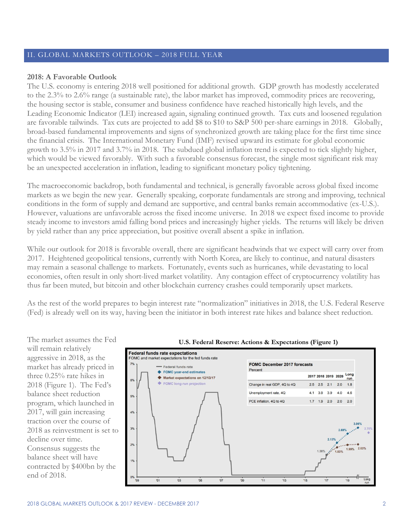## II. GLOBAL MARKETS OUTLOOK – 2018 FULL YEAR

#### **2018: A Favorable Outlook**

The U.S. economy is entering 2018 well positioned for additional growth. GDP growth has modestly accelerated to the 2.3% to 2.6% range (a sustainable rate), the labor market has improved, commodity prices are recovering, the housing sector is stable, consumer and business confidence have reached historically high levels, and the Leading Economic Indicator (LEI) increased again, signaling continued growth. Tax cuts and loosened regulation are favorable tailwinds. Tax cuts are projected to add \$8 to \$10 to S&P 500 per-share earnings in 2018. Globally, broad-based fundamental improvements and signs of synchronized growth are taking place for the first time since the financial crisis. The International Monetary Fund (IMF) revised upward its estimate for global economic growth to 3.5% in 2017 and 3.7% in 2018. The subdued global inflation trend is expected to tick slightly higher, which would be viewed favorably. With such a favorable consensus forecast, the single most significant risk may be an unexpected acceleration in inflation, leading to significant monetary policy tightening.

The macroeconomic backdrop, both fundamental and technical, is generally favorable across global fixed income markets as we begin the new year. Generally speaking, corporate fundamentals are strong and improving, technical conditions in the form of supply and demand are supportive, and central banks remain accommodative (ex-U.S.). However, valuations are unfavorable across the fixed income universe. In 2018 we expect fixed income to provide steady income to investors amid falling bond prices and increasingly higher yields. The returns will likely be driven by yield rather than any price appreciation, but positive overall absent a spike in inflation.

While our outlook for 2018 is favorable overall, there are significant headwinds that we expect will carry over from 2017. Heightened geopolitical tensions, currently with North Korea, are likely to continue, and natural disasters may remain a seasonal challenge to markets. Fortunately, events such as hurricanes, while devastating to local economies, often result in only short-lived market volatility. Any contagion effect of cryptocurrency volatility has thus far been muted, but bitcoin and other blockchain currency crashes could temporarily upset markets.

As the rest of the world prepares to begin interest rate "normalization" initiatives in 2018, the U.S. Federal Reserve (Fed) is already well on its way, having been the initiator in both interest rate hikes and balance sheet reduction.

The market assumes the Fed will remain relatively aggressive in 2018, as the market has already priced in three 0.25% rate hikes in 2018 (Figure 1). The Fed's balance sheet reduction program, which launched in 2017, will gain increasing traction over the course of 2018 as reinvestment is set to decline over time. Consensus suggests the balance sheet will have contracted by \$400bn by the end of 2018.



 $11$ 

 $13$ 

 $09$ 

 $\overline{07}$ 

 $\overline{0}3$ 

 $'01$ 

 $05$ 

#### **U.S. Federal Reserve: Actions & Expectations (Figure 1)**

 $6%$ 

5%

 $4%$ 

3%

 $2%$ 

 $1%$ 

 $17$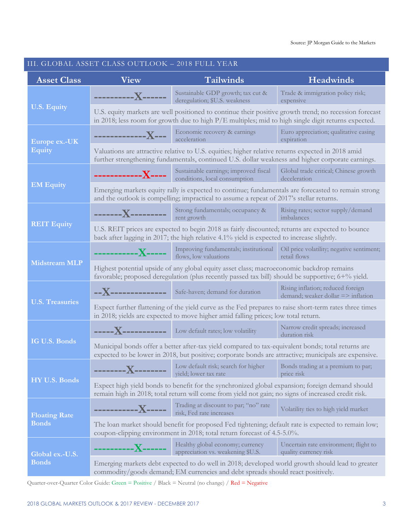#### III. GLOBAL ASSET CLASS OUTLOOK – 2018 FULL YEAR **Asset Class View Tailwinds Headwinds U.S. Equity ----------X------** Sustainable GDP growth; tax cut & deregulation; \$U.S. weakness Trade & immigration policy risk; expensive U.S. equity markets are well positioned to continue their positive growth trend; no recession forecast in 2018; less room for growth due to high P/E multiples; mid to high single digit returns expected. **Europe ex.-UK Equity -------------X---** Economic recovery & earnings acceleration Euro appreciation; qualitative easing expiration Valuations are attractive relative to U.S. equities; higher relative returns expected in 2018 amid further strengthening fundamentals, continued U.S. dollar weakness and higher corporate earnings. **EM Equity ------------X----** Sustainable earnings; improved fiscal conditions, local consumption Global trade critical; Chinese growth deceleration Emerging markets equity rally is expected to continue; fundamentals are forecasted to remain strong and the outlook is compelling; impractical to assume a repeat of 2017's stellar returns. **REIT Equity -------X---------** Strong fundamentals; occupancy & rent growth Rising rates; sector supply/demand imbalances U.S. REIT prices are expected to begin 2018 as fairly discounted; returns are expected to bounce back after lagging in 2017; the high relative 4.1% yield is expected to increase slightly. **Midstream MLP -----------X-----** Improving fundamentals; institutional Oil price volatility; negative sentiment; flows, low valuations retail flows Highest potential upside of any global equity asset class; macroeconomic backdrop remains favorable; proposed deregulation (plus recently passed tax bill) should be supportive; 6+% yield. **U.S. Treasuries --X-------------** Safe-haven; demand for duration Rising inflation; reduced foreign demand; weaker dollar => inflation Expect further flattening of the yield curve as the Fed prepares to raise short-term rates three times in 2018; yields are expected to move higher amid falling prices; low total return. **IG U.S. Bonds ----X-----------** Low default rates; low volatility Narrow credit spreads; increased duration risk Municipal bonds offer a better after-tax yield compared to tax-equivalent bonds; total returns are expected to be lower in 2018, but positive; corporate bonds are attractive; municipals are expensive. **HY U.S. Bonds --------X--------** Low default risk; search for higher yield; lower tax rate Bonds trading at a premium to par; price risk Expect high yield bonds to benefit for the synchronized global expansion; foreign demand should remain high in 2018; total return will come from yield not gain; no signs of increased credit risk. **Floating Rate Bonds -----------X-----** Trading at discount to par; "no" rate risk, Fed rate increases Volatility ties to high yield market The loan market should benefit for proposed Fed tightening; default rate is expected to remain low; coupon-clipping environment in 2018; total return forecast of 4.5-5.0%. **Global ex.-U.S. Bonds ----------X------** Healthy global economy; currency appreciation vs. weakening \$U.S. Uncertain rate environment; flight to quality currency risk Emerging markets debt expected to do well in 2018; developed world growth should lead to greater commodity/goods demand; EM currencies and debt spreads should react positively.

Quarter-over-Quarter Color Guide: Green = Positive / Black = Neutral (no change) / Red = Negative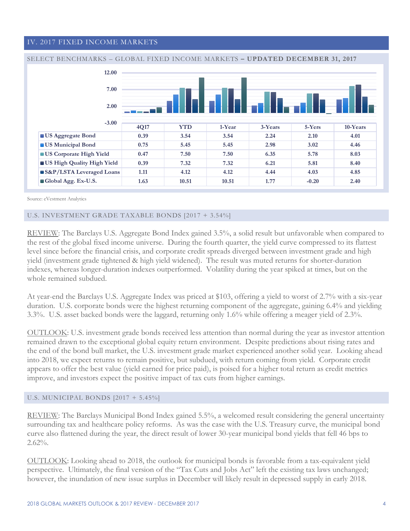#### IV. 2017 FIXED INCOME MARKETS





Source: eVestment Analytics

#### U.S. INVESTMENT GRADE TAXABLE BONDS [2017 + 3.54%]

REVIEW: The Barclays U.S. Aggregate Bond Index gained 3.5%, a solid result but unfavorable when compared to the rest of the global fixed income universe. During the fourth quarter, the yield curve compressed to its flattest level since before the financial crisis, and corporate credit spreads diverged between investment grade and high yield (investment grade tightened & high yield widened). The result was muted returns for shorter-duration indexes, whereas longer-duration indexes outperformed. Volatility during the year spiked at times, but on the whole remained subdued.

At year-end the Barclays U.S. Aggregate Index was priced at \$103, offering a yield to worst of 2.7% with a six-year duration. U.S. corporate bonds were the highest returning component of the aggregate, gaining 6.4% and yielding 3.3%. U.S. asset backed bonds were the laggard, returning only 1.6% while offering a meager yield of 2.3%.

OUTLOOK: U.S. investment grade bonds received less attention than normal during the year as investor attention remained drawn to the exceptional global equity return environment. Despite predictions about rising rates and the end of the bond bull market, the U.S. investment grade market experienced another solid year. Looking ahead into 2018, we expect returns to remain positive, but subdued, with return coming from yield. Corporate credit appears to offer the best value (yield earned for price paid), is poised for a higher total return as credit metrics improve, and investors expect the positive impact of tax cuts from higher earnings.

#### U.S. MUNICIPAL BONDS [2017 + 5.45%]

REVIEW: The Barclays Municipal Bond Index gained 5.5%, a welcomed result considering the general uncertainty surrounding tax and healthcare policy reforms. As was the case with the U.S. Treasury curve, the municipal bond curve also flattened during the year, the direct result of lower 30-year municipal bond yields that fell 46 bps to 2.62%.

OUTLOOK: Looking ahead to 2018, the outlook for municipal bonds is favorable from a tax-equivalent yield perspective. Ultimately, the final version of the "Tax Cuts and Jobs Act" left the existing tax laws unchanged; however, the inundation of new issue surplus in December will likely result in depressed supply in early 2018.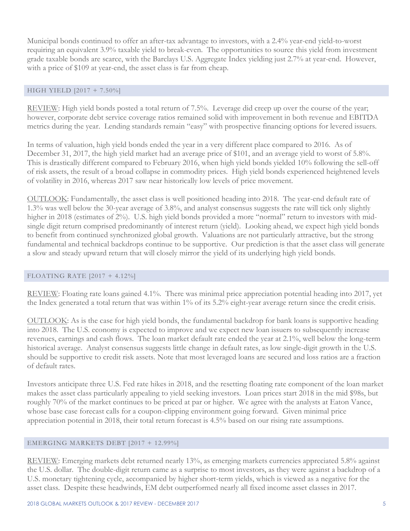Municipal bonds continued to offer an after-tax advantage to investors, with a 2.4% year-end yield-to-worst requiring an equivalent 3.9% taxable yield to break-even. The opportunities to source this yield from investment grade taxable bonds are scarce, with the Barclays U.S. Aggregate Index yielding just 2.7% at year-end. However, with a price of \$109 at year-end, the asset class is far from cheap.

#### HIGH YIELD [2017 + 7.50%]

REVIEW: High yield bonds posted a total return of 7.5%. Leverage did creep up over the course of the year; however, corporate debt service coverage ratios remained solid with improvement in both revenue and EBITDA metrics during the year. Lending standards remain "easy" with prospective financing options for levered issuers.

In terms of valuation, high yield bonds ended the year in a very different place compared to 2016. As of December 31, 2017, the high yield market had an average price of \$101, and an average yield to worst of 5.8%. This is drastically different compared to February 2016, when high yield bonds yielded 10% following the sell-off of risk assets, the result of a broad collapse in commodity prices. High yield bonds experienced heightened levels of volatility in 2016, whereas 2017 saw near historically low levels of price movement.

OUTLOOK: Fundamentally, the asset class is well positioned heading into 2018. The year-end default rate of 1.3% was well below the 30-year average of 3.8%, and analyst consensus suggests the rate will tick only slightly higher in 2018 (estimates of 2%). U.S. high yield bonds provided a more "normal" return to investors with midsingle digit return comprised predominantly of interest return (yield). Looking ahead, we expect high yield bonds to benefit from continued synchronized global growth. Valuations are not particularly attractive, but the strong fundamental and technical backdrops continue to be supportive. Our prediction is that the asset class will generate a slow and steady upward return that will closely mirror the yield of its underlying high yield bonds.

#### FLOATING RATE [2017 + 4.12%]

REVIEW: Floating rate loans gained 4.1%. There was minimal price appreciation potential heading into 2017, yet the Index generated a total return that was within 1% of its 5.2% eight-year average return since the credit crisis.

OUTLOOK: As is the case for high yield bonds, the fundamental backdrop for bank loans is supportive heading into 2018. The U.S. economy is expected to improve and we expect new loan issuers to subsequently increase revenues, earnings and cash flows. The loan market default rate ended the year at 2.1%, well below the long-term historical average. Analyst consensus suggests little change in default rates, as low single-digit growth in the U.S. should be supportive to credit risk assets. Note that most leveraged loans are secured and loss ratios are a fraction of default rates.

Investors anticipate three U.S. Fed rate hikes in 2018, and the resetting floating rate component of the loan market makes the asset class particularly appealing to yield seeking investors. Loan prices start 2018 in the mid \$98s, but roughly 70% of the market continues to be priced at par or higher. We agree with the analysts at Eaton Vance, whose base case forecast calls for a coupon-clipping environment going forward. Given minimal price appreciation potential in 2018, their total return forecast is 4.5% based on our rising rate assumptions.

#### EMERGING MARKETS DEBT [2017 + 12.99%]

REVIEW: Emerging markets debt returned nearly 13%, as emerging markets currencies appreciated 5.8% against the U.S. dollar. The double-digit return came as a surprise to most investors, as they were against a backdrop of a U.S. monetary tightening cycle, accompanied by higher short-term yields, which is viewed as a negative for the asset class. Despite these headwinds, EM debt outperformed nearly all fixed income asset classes in 2017.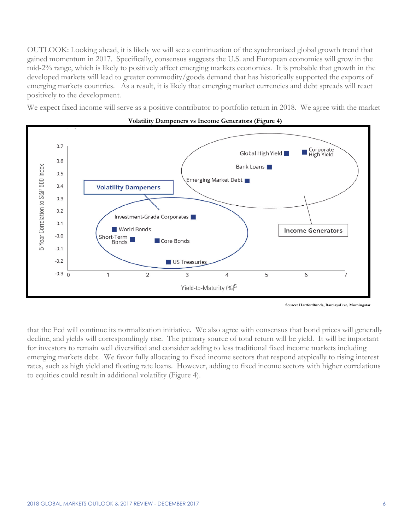OUTLOOK: Looking ahead, it is likely we will see a continuation of the synchronized global growth trend that gained momentum in 2017. Specifically, consensus suggests the U.S. and European economies will grow in the mid-2% range, which is likely to positively affect emerging markets economies. It is probable that growth in the developed markets will lead to greater commodity/goods demand that has historically supported the exports of emerging markets countries. As a result, it is likely that emerging market currencies and debt spreads will react positively to the development.

We expect fixed income will serve as a positive contributor to portfolio return in 2018. We agree with the market





that the Fed will continue its normalization initiative. We also agree with consensus that bond prices will generally decline, and yields will correspondingly rise. The primary source of total return will be yield. It will be important for investors to remain well diversified and consider adding to less traditional fixed income markets including emerging markets debt. We favor fully allocating to fixed income sectors that respond atypically to rising interest rates, such as high yield and floating rate loans. However, adding to fixed income sectors with higher correlations to equities could result in additional volatility (Figure 4).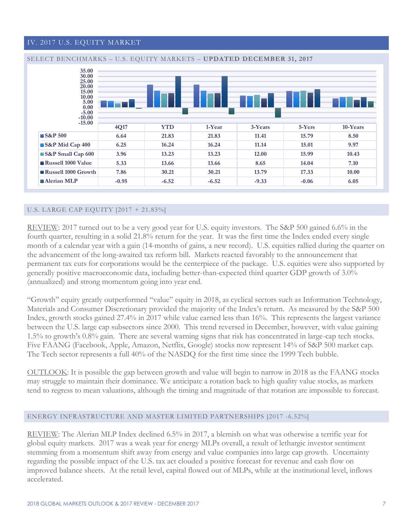# IV. 2017 U.S. EQUITY MARKET



#### U.S. LARGE CAP EQUITY [2017 + 21.83%]

REVIEW: 2017 turned out to be a very good year for U.S. equity investors. The S&P 500 gained 6.6% in the fourth quarter, resulting in a solid 21.8% return for the year. It was the first time the Index ended every single month of a calendar year with a gain (14-months of gains, a new record). U.S. equities rallied during the quarter on the advancement of the long-awaited tax reform bill. Markets reacted favorably to the announcement that permanent tax cuts for corporations would be the centerpiece of the package. U.S. equities were also supported by generally positive macroeconomic data, including better-than-expected third quarter GDP growth of 3.0% (annualized) and strong momentum going into year end.

"Growth" equity greatly outperformed "value" equity in 2018, as cyclical sectors such as Information Technology, Materials and Consumer Discretionary provided the majority of the Index's return. As measured by the S&P 500 Index, growth stocks gained 27.4% in 2017 while value earned less than 16%. This represents the largest variance between the U.S. large cap subsectors since 2000. This trend reversed in December, however, with value gaining 1.5% to growth's 0.8% gain. There are several warning signs that risk has concentrated in large-cap tech stocks. Five FAANG (Facebook, Apple, Amazon, Netflix, Google) stocks now represent 14% of S&P 500 market cap. The Tech sector represents a full 40% of the NASDQ for the first time since the 1999 Tech bubble.

OUTLOOK: It is possible the gap between growth and value will begin to narrow in 2018 as the FAANG stocks may struggle to maintain their dominance. We anticipate a rotation back to high quality value stocks, as markets tend to regress to mean valuations, although the timing and magnitude of that rotation are impossible to forecast.

#### ENERGY INFRASTRUCTURE AND MASTER LIMITED PARTNERSHIPS [2017 -6.52%]

REVIEW: The Alerian MLP Index declined 6.5% in 2017, a blemish on what was otherwise a terrific year for global equity markets. 2017 was a weak year for energy MLPs overall, a result of lethargic investor sentiment stemming from a momentum shift away from energy and value companies into large cap growth. Uncertainty regarding the possible impact of the U.S. tax act clouded a positive forecast for revenue and cash flow on improved balance sheets. At the retail level, capital flowed out of MLPs, while at the institutional level, inflows accelerated.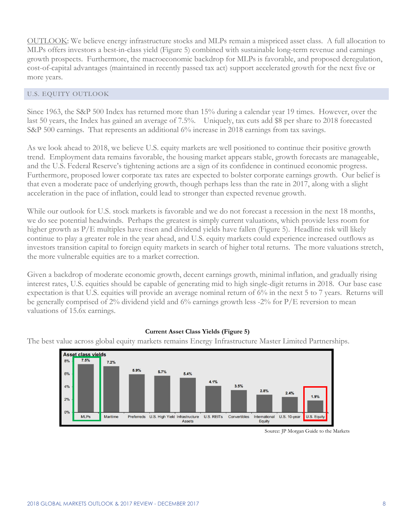OUTLOOK: We believe energy infrastructure stocks and MLPs remain a mispriced asset class. A full allocation to MLPs offers investors a best-in-class yield (Figure 5) combined with sustainable long-term revenue and earnings growth prospects. Furthermore, the macroeconomic backdrop for MLPs is favorable, and proposed deregulation, cost-of-capital advantages (maintained in recently passed tax act) support accelerated growth for the next five or more years.

#### U.S. EQUITY OUTLOOK

Since 1963, the S&P 500 Index has returned more than 15% during a calendar year 19 times. However, over the last 50 years, the Index has gained an average of 7.5%. Uniquely, tax cuts add \$8 per share to 2018 forecasted S&P 500 earnings. That represents an additional 6% increase in 2018 earnings from tax savings.

As we look ahead to 2018, we believe U.S. equity markets are well positioned to continue their positive growth trend. Employment data remains favorable, the housing market appears stable, growth forecasts are manageable, and the U.S. Federal Reserve's tightening actions are a sign of its confidence in continued economic progress. Furthermore, proposed lower corporate tax rates are expected to bolster corporate earnings growth. Our belief is that even a moderate pace of underlying growth, though perhaps less than the rate in 2017, along with a slight acceleration in the pace of inflation, could lead to stronger than expected revenue growth.

While our outlook for U.S. stock markets is favorable and we do not forecast a recession in the next 18 months, we do see potential headwinds. Perhaps the greatest is simply current valuations, which provide less room for higher growth as P/E multiples have risen and dividend yields have fallen (Figure 5). Headline risk will likely continue to play a greater role in the year ahead, and U.S. equity markets could experience increased outflows as investors transition capital to foreign equity markets in search of higher total returns. The more valuations stretch, the more vulnerable equities are to a market correction.

Given a backdrop of moderate economic growth, decent earnings growth, minimal inflation, and gradually rising interest rates, U.S. equities should be capable of generating mid to high single-digit returns in 2018. Our base case expectation is that U.S. equities will provide an average nominal return of 6% in the next 5 to 7 years. Returns will be generally comprised of 2% dividend yield and 6% earnings growth less -2% for P/E reversion to mean valuations of 15.6x earnings.

#### **Current Asset Class Yields (Figure 5)**

The best value across global equity markets remains Energy Infrastructure Master Limited Partnerships.



Source: JP Morgan Guide to the Markets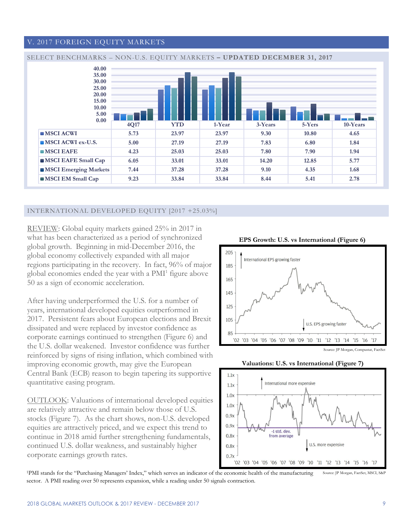#### V. 2017 FOREIGN EQUITY MARKETS



#### INTERNATIONAL DEVELOPED EQUITY [2017 +25.03%]

REVIEW: Global equity markets gained 25% in 2017 in what has been characterized as a period of synchronized global growth. Beginning in mid-December 2016, the global economy collectively expanded with all major regions participating in the recovery. In fact, 96% of major global economies ended the year with a PMI<sup>1</sup> figure above 50 as a sign of economic acceleration.

After having underperformed the U.S. for a number of years, international developed equities outperformed in 2017. Persistent fears about European elections and Brexit dissipated and were replaced by investor confidence as corporate earnings continued to strengthen (Figure 6) and the U.S. dollar weakened. Investor confidence was further reinforced by signs of rising inflation, which combined with improving economic growth, may give the European Central Bank (ECB) reason to begin tapering its supportive quantitative easing program.

OUTLOOK: Valuations of international developed equities are relatively attractive and remain below those of U.S. stocks (Figure 7). As the chart shows, non-U.S. developed equities are attractively priced, and we expect this trend to continue in 2018 amid further strengthening fundamentals, continued U.S. dollar weakness, and sustainably higher corporate earnings growth rates.









<sup>1</sup>PMI stands for the "Purchasing Managers' Index," which serves an indicator of the economic health of the manufacturing sector. A PMI reading over 50 represents expansion, while a reading under 50 signals contraction. Source: JP Morgan, FactSet, MSCI, S&P